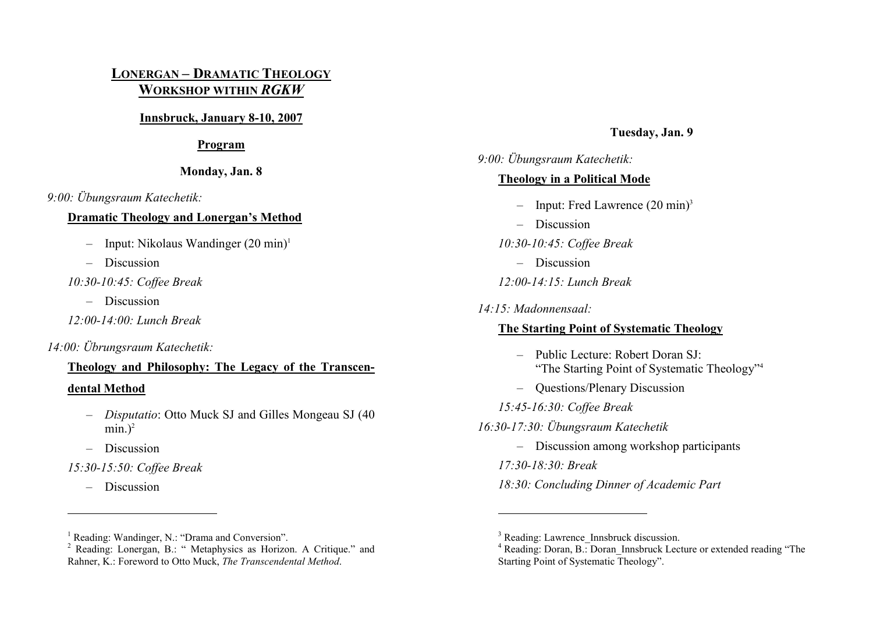## **LONERGAN – DRAMATIC THEOLOGY WORKSHOP WITHIN** *RGKW*

#### **Innsbruck, January 8-10, 2007**

#### **Program**

#### **Monday, Jan. 8**

*9:00: Übungsraum Katechetik:* 

#### **Dramatic Theology and Lonergan's Method**

- Input: Nikolaus Wandinger  $(20 \text{ min})^1$
- Discussion
- *10:30-10:45: Coffee Break* 
	- Discussion
- *12:00-14:00: Lunch Break*

### *14:00: Übrungsraum Katechetik:*

# **Theology and Philosophy: The Legacy of the Transcen-**

#### **dental Method**

- *Disputatio*: Otto Muck SJ and Gilles Mongeau SJ (40 min. $)^2$
- Discussion

## *15:30-15:50: Coffee Break*

– Discussion

#### <sup>1</sup> Reading: Wandinger, N.: "Drama and Conversion".

## **Tuesday, Jan. 9**

## *9:00: Übungsraum Katechetik:*  **Theology in a Political Mode**

- Input: Fred Lawrence  $(20 \text{ min})^3$
- Discussion
- *10:30-10:45: Coffee Break* 
	- Discussion
- *12:00-14:15: Lunch Break*
- *14:15: Madonnensaal:*

### **The Starting Point of Systematic Theology**

- Public Lecture: Robert Doran SJ: "The Starting Point of Systematic Theology"4
- Questions/Plenary Discussion
- *15:45-16:30: Coffee Break*
- *16:30-17:30: Übungsraum Katechetik* 
	- Discussion among workshop participants
	- *17:30-18:30: Break*
	- *18:30: Concluding Dinner of Academic Part*

<sup>&</sup>lt;sup>2</sup> Reading: Lonergan, B.: " Metaphysics as Horizon. A Critique." and Rahner, K.: Foreword to Otto Muck, *The Transcendental Method*.

<sup>&</sup>lt;sup>3</sup> Reading: Lawrence Innsbruck discussion.

<sup>&</sup>lt;sup>4</sup> Reading: Doran, B.: Doran\_Innsbruck Lecture or extended reading "The Starting Point of Systematic Theology".